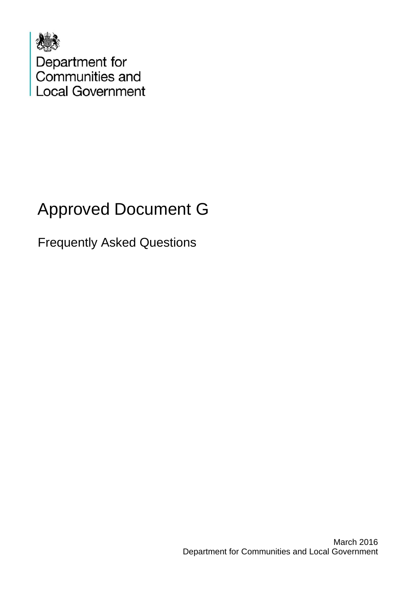

# Approved Document G

Frequently Asked Questions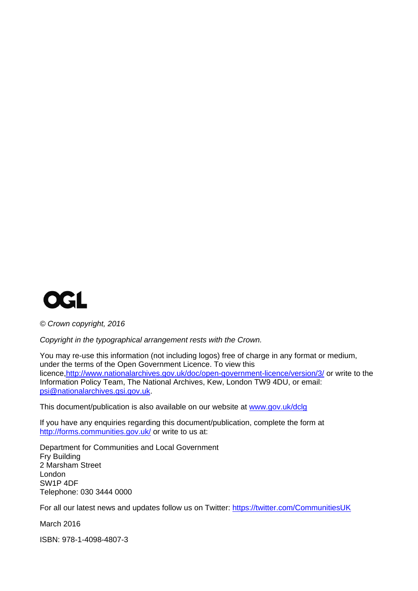

*© Crown copyright, 2016* 

*Copyright in the typographical arrangement rests with the Crown.* 

You may re-use this information (not including logos) free of charge in any format or medium, under the terms of the Open Government Licence. To view this licence[,http://www.nationalarchives.gov.uk/doc/open-government-licence/version/3/](http://www.nationalarchives.gov.uk/doc/open-government-licence/version/3/) or write to the Information Policy Team, The National Archives, Kew, London TW9 4DU, or email: [psi@nationalarchives.gsi.gov.uk](mailto:psi@nationalarchives.gsi.gov.uk).

This document/publication is also available on our website at [www.gov.uk/dclg](http://www.gov.uk/dclg)

If you have any enquiries regarding this document/publication, complete the form at <http://forms.communities.gov.uk/> or write to us at:

Department for Communities and Local Government Fry Building 2 Marsham Street London SW1P 4DF Telephone: 030 3444 0000

For all our latest news and updates follow us on Twitter: https://twitter.com/CommunitiesUK

March 2016

ISBN: 978-1-4098-4807-3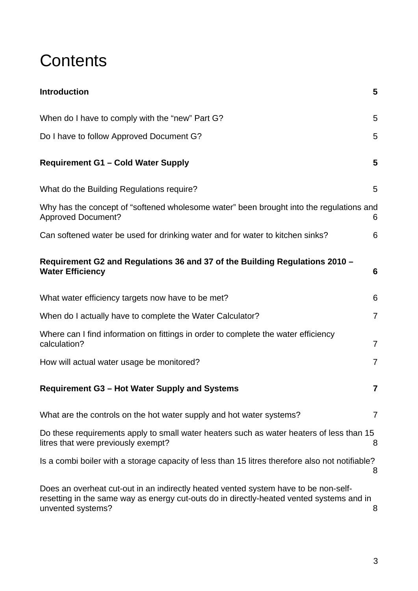### **Contents**

| <b>Introduction</b>                                                                                                                                                                                  | 5              |
|------------------------------------------------------------------------------------------------------------------------------------------------------------------------------------------------------|----------------|
| When do I have to comply with the "new" Part G?                                                                                                                                                      | 5              |
| Do I have to follow Approved Document G?                                                                                                                                                             | 5              |
| <b>Requirement G1 - Cold Water Supply</b>                                                                                                                                                            | 5              |
| What do the Building Regulations require?                                                                                                                                                            | 5              |
| Why has the concept of "softened wholesome water" been brought into the regulations and<br><b>Approved Document?</b>                                                                                 | 6              |
| Can softened water be used for drinking water and for water to kitchen sinks?                                                                                                                        | 6              |
| Requirement G2 and Regulations 36 and 37 of the Building Regulations 2010 -<br><b>Water Efficiency</b>                                                                                               | 6              |
| What water efficiency targets now have to be met?                                                                                                                                                    | 6              |
| When do I actually have to complete the Water Calculator?                                                                                                                                            | $\overline{7}$ |
| Where can I find information on fittings in order to complete the water efficiency<br>calculation?                                                                                                   | $\overline{7}$ |
| How will actual water usage be monitored?                                                                                                                                                            | $\overline{7}$ |
| Requirement G3 - Hot Water Supply and Systems                                                                                                                                                        | 7              |
| What are the controls on the hot water supply and hot water systems?                                                                                                                                 | $\overline{7}$ |
| Do these requirements apply to small water heaters such as water heaters of less than 15<br>litres that were previously exempt?                                                                      | 8              |
| Is a combi boiler with a storage capacity of less than 15 litres therefore also not notifiable?                                                                                                      | 8              |
| Does an overheat cut-out in an indirectly heated vented system have to be non-self-<br>resetting in the same way as energy cut-outs do in directly-heated vented systems and in<br>unvented systems? | 8              |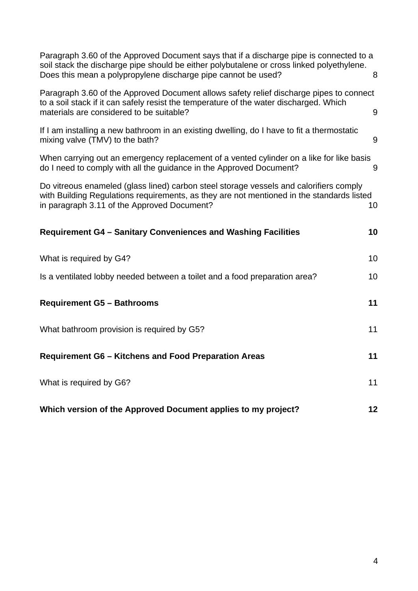| Paragraph 3.60 of the Approved Document says that if a discharge pipe is connected to a<br>soil stack the discharge pipe should be either polybutalene or cross linked polyethylene.<br>Does this mean a polypropylene discharge pipe cannot be used? | 8  |
|-------------------------------------------------------------------------------------------------------------------------------------------------------------------------------------------------------------------------------------------------------|----|
| Paragraph 3.60 of the Approved Document allows safety relief discharge pipes to connect<br>to a soil stack if it can safely resist the temperature of the water discharged. Which<br>materials are considered to be suitable?                         | 9  |
| If I am installing a new bathroom in an existing dwelling, do I have to fit a thermostatic<br>mixing valve (TMV) to the bath?                                                                                                                         | 9  |
| When carrying out an emergency replacement of a vented cylinder on a like for like basis<br>do I need to comply with all the guidance in the Approved Document?                                                                                       | 9  |
| Do vitreous enameled (glass lined) carbon steel storage vessels and calorifiers comply<br>with Building Regulations requirements, as they are not mentioned in the standards listed<br>in paragraph 3.11 of the Approved Document?                    | 10 |
| <b>Requirement G4 - Sanitary Conveniences and Washing Facilities</b>                                                                                                                                                                                  | 10 |
| What is required by G4?                                                                                                                                                                                                                               | 10 |
| Is a ventilated lobby needed between a toilet and a food preparation area?                                                                                                                                                                            | 10 |
| <b>Requirement G5 - Bathrooms</b>                                                                                                                                                                                                                     | 11 |
| What bathroom provision is required by G5?                                                                                                                                                                                                            | 11 |
| <b>Requirement G6 - Kitchens and Food Preparation Areas</b>                                                                                                                                                                                           | 11 |
| What is required by G6?                                                                                                                                                                                                                               | 11 |
| Which version of the Approved Document applies to my project?                                                                                                                                                                                         | 12 |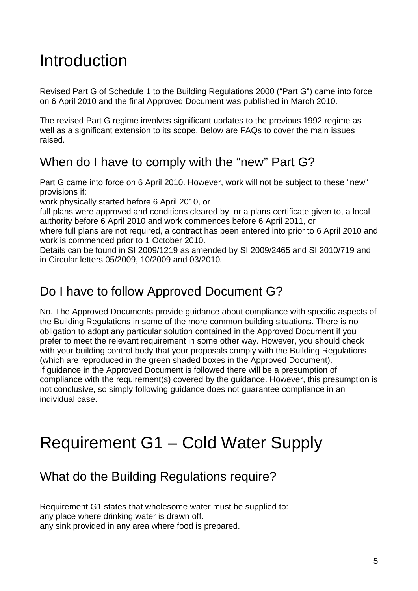## <span id="page-4-0"></span>Introduction

Revised Part G of Schedule 1 to the Building Regulations 2000 ("Part G") came into force on 6 April 2010 and the final Approved Document was published in March 2010.

The revised Part G regime involves significant updates to the previous 1992 regime as well as a significant extension to its scope. Below are FAQs to cover the main issues raised.

### <span id="page-4-1"></span>When do I have to comply with the "new" Part G?

Part G came into force on 6 April 2010. However, work will not be subject to these "new" provisions if:

work physically started before 6 April 2010, or

full plans were approved and conditions cleared by, or a plans certificate given to, a local authority before 6 April 2010 and work commences before 6 April 2011, or

where full plans are not required, a contract has been entered into prior to 6 April 2010 and work is commenced prior to 1 October 2010.

Details can be found in SI 2009/1219 as amended by SI 2009/2465 and SI 2010/719 and in Circular letters 05/2009, 10/2009 and 03/2010*.* 

#### <span id="page-4-2"></span>Do I have to follow Approved Document G?

No. The Approved Documents provide guidance about compliance with specific aspects of the Building Regulations in some of the more common building situations. There is no obligation to adopt any particular solution contained in the Approved Document if you prefer to meet the relevant requirement in some other way. However, you should check with your building control body that your proposals comply with the Building Regulations (which are reproduced in the green shaded boxes in the Approved Document). If guidance in the Approved Document is followed there will be a presumption of compliance with the requirement(s) covered by the guidance. However, this presumption is not conclusive, so simply following guidance does not guarantee compliance in an individual case.

## <span id="page-4-3"></span>Requirement G1 – Cold Water Supply

### <span id="page-4-4"></span>What do the Building Regulations require?

Requirement G1 states that wholesome water must be supplied to: any place where drinking water is drawn off. any sink provided in any area where food is prepared.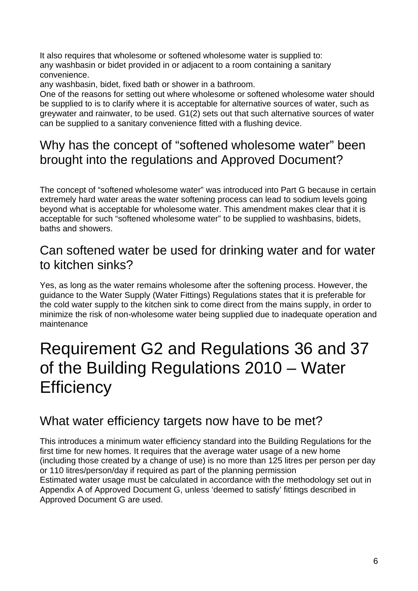It also requires that wholesome or softened wholesome water is supplied to: any washbasin or bidet provided in or adjacent to a room containing a sanitary convenience.

any washbasin, bidet, fixed bath or shower in a bathroom.

One of the reasons for setting out where wholesome or softened wholesome water should be supplied to is to clarify where it is acceptable for alternative sources of water, such as greywater and rainwater, to be used. G1(2) sets out that such alternative sources of water can be supplied to a sanitary convenience fitted with a flushing device.

### <span id="page-5-0"></span>Why has the concept of "softened wholesome water" been brought into the regulations and Approved Document?

The concept of "softened wholesome water" was introduced into Part G because in certain extremely hard water areas the water softening process can lead to sodium levels going beyond what is acceptable for wholesome water. This amendment makes clear that it is acceptable for such "softened wholesome water" to be supplied to washbasins, bidets, baths and showers.

#### <span id="page-5-1"></span>Can softened water be used for drinking water and for water to kitchen sinks?

Yes, as long as the water remains wholesome after the softening process. However, the guidance to the Water Supply (Water Fittings) Regulations states that it is preferable for the cold water supply to the kitchen sink to come direct from the mains supply, in order to minimize the risk of non-wholesome water being supplied due to inadequate operation and maintenance

### <span id="page-5-2"></span>Requirement G2 and Regulations 36 and 37 of the Building Regulations 2010 – Water **Efficiency**

#### <span id="page-5-3"></span>What water efficiency targets now have to be met?

This introduces a minimum water efficiency standard into the Building Regulations for the first time for new homes. It requires that the average water usage of a new home (including those created by a change of use) is no more than 125 litres per person per day or 110 litres/person/day if required as part of the planning permission Estimated water usage must be calculated in accordance with the methodology set out in Appendix A of Approved Document G, unless 'deemed to satisfy' fittings described in Approved Document G are used.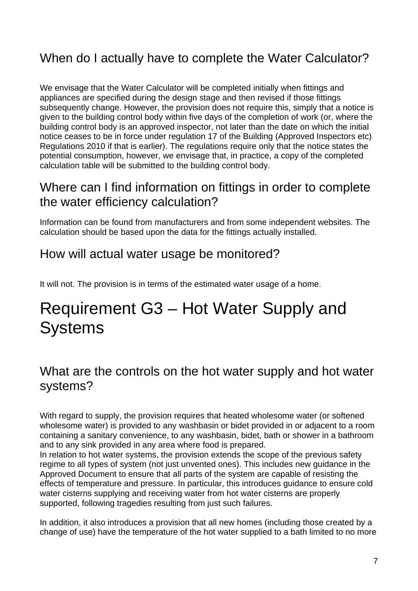### <span id="page-6-0"></span>When do I actually have to complete the Water Calculator?

We envisage that the Water Calculator will be completed initially when fittings and appliances are specified during the design stage and then revised if those fittings subsequently change. However, the provision does not require this, simply that a notice is given to the building control body within five days of the completion of work (or, where the building control body is an approved inspector, not later than the date on which the initial notice ceases to be in force under regulation 17 of the Building (Approved Inspectors etc) Regulations 2010 if that is earlier). The regulations require only that the notice states the potential consumption, however, we envisage that, in practice, a copy of the completed calculation table will be submitted to the building control body.

#### <span id="page-6-1"></span>Where can I find information on fittings in order to complete the water efficiency calculation?

Information can be found from manufacturers and from some independent websites. The calculation should be based upon the data for the fittings actually installed.

#### <span id="page-6-2"></span>How will actual water usage be monitored?

It will not. The provision is in terms of the estimated water usage of a home.

## <span id="page-6-3"></span>Requirement G3 – Hot Water Supply and **Systems**

#### <span id="page-6-4"></span>What are the controls on the hot water supply and hot water systems?

With regard to supply, the provision requires that heated wholesome water (or softened wholesome water) is provided to any washbasin or bidet provided in or adjacent to a room containing a sanitary convenience, to any washbasin, bidet, bath or shower in a bathroom and to any sink provided in any area where food is prepared.

In relation to hot water systems, the provision extends the scope of the previous safety regime to all types of system (not just unvented ones). This includes new guidance in the Approved Document to ensure that all parts of the system are capable of resisting the effects of temperature and pressure. In particular, this introduces guidance to ensure cold water cisterns supplying and receiving water from hot water cisterns are properly supported, following tragedies resulting from just such failures.

In addition, it also introduces a provision that all new homes (including those created by a change of use) have the temperature of the hot water supplied to a bath limited to no more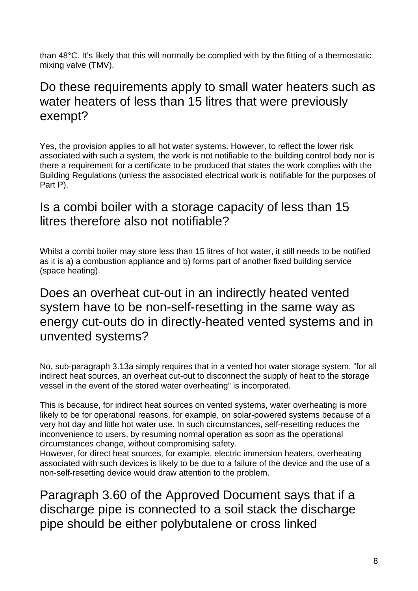than 48°C. It's likely that this will normally be complied with by the fitting of a thermostatic mixing valve (TMV).

#### <span id="page-7-0"></span>Do these requirements apply to small water heaters such as water heaters of less than 15 litres that were previously exempt?

Yes, the provision applies to all hot water systems. However, to reflect the lower risk associated with such a system, the work is not notifiable to the building control body nor is there a requirement for a certificate to be produced that states the work complies with the Building Regulations (unless the associated electrical work is notifiable for the purposes of Part P).

#### <span id="page-7-1"></span>Is a combi boiler with a storage capacity of less than 15 litres therefore also not notifiable?

Whilst a combi boiler may store less than 15 litres of hot water, it still needs to be notified as it is a) a combustion appliance and b) forms part of another fixed building service (space heating).

#### <span id="page-7-2"></span>Does an overheat cut-out in an indirectly heated vented system have to be non-self-resetting in the same way as energy cut-outs do in directly-heated vented systems and in unvented systems?

No, sub-paragraph 3.13a simply requires that in a vented hot water storage system, "for all indirect heat sources, an overheat cut-out to disconnect the supply of heat to the storage vessel in the event of the stored water overheating" is incorporated.

This is because, for indirect heat sources on vented systems, water overheating is more likely to be for operational reasons, for example, on solar-powered systems because of a very hot day and little hot water use. In such circumstances, self-resetting reduces the inconvenience to users, by resuming normal operation as soon as the operational circumstances change, without compromising safety.

However, for direct heat sources, for example, electric immersion heaters, overheating associated with such devices is likely to be due to a failure of the device and the use of a non-self-resetting device would draw attention to the problem.

Paragraph 3.60 of the Approved Document says that if a discharge pipe is connected to a soil stack the discharge pipe should be either polybutalene or cross linked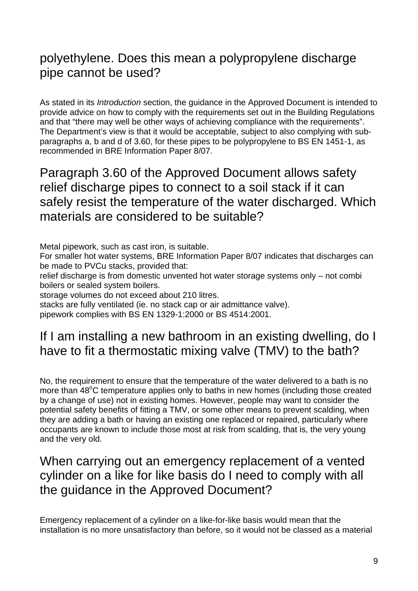### polyethylene. Does this mean a polypropylene discharge pipe cannot be used?

As stated in its *Introduction* section, the guidance in the Approved Document is intended to provide advice on how to comply with the requirements set out in the Building Regulations and that "there may well be other ways of achieving compliance with the requirements". The Department's view is that it would be acceptable, subject to also complying with subparagraphs a, b and d of 3.60, for these pipes to be polypropylene to BS EN 1451-1, as recommended in BRE Information Paper 8/07.

<span id="page-8-1"></span>Paragraph 3.60 of the Approved Document allows safety relief discharge pipes to connect to a soil stack if it can safely resist the temperature of the water discharged. Which materials are considered to be suitable?

Metal pipework, such as cast iron, is suitable.

For smaller hot water systems, BRE Information Paper 8/07 indicates that discharges can be made to PVCu stacks, provided that:

relief discharge is from domestic unvented hot water storage systems only – not combi boilers or sealed system boilers.

storage volumes do not exceed about 210 litres.

stacks are fully ventilated (ie. no stack cap or air admittance valve).

pipework complies with BS EN 1329-1:2000 or BS 4514:2001.

#### <span id="page-8-2"></span>If I am installing a new bathroom in an existing dwelling, do I have to fit a thermostatic mixing valve (TMV) to the bath?

No, the requirement to ensure that the temperature of the water delivered to a bath is no more than 48°C temperature applies only to baths in new homes (including those created by a change of use) not in existing homes. However, people may want to consider the potential safety benefits of fitting a TMV, or some other means to prevent scalding, when they are adding a bath or having an existing one replaced or repaired, particularly where occupants are known to include those most at risk from scalding, that is, the very young and the very old.

#### <span id="page-8-3"></span>When carrying out an emergency replacement of a vented cylinder on a like for like basis do I need to comply with all the guidance in the Approved Document?

<span id="page-8-0"></span>Emergency replacement of a cylinder on a like-for-like basis would mean that the installation is no more unsatisfactory than before, so it would not be classed as a material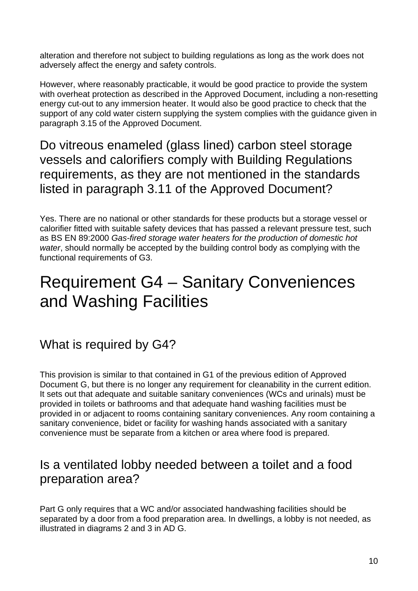alteration and therefore not subject to building regulations as long as the work does not adversely affect the energy and safety controls.

However, where reasonably practicable, it would be good practice to provide the system with overheat protection as described in the Approved Document, including a non-resetting energy cut-out to any immersion heater. It would also be good practice to check that the support of any cold water cistern supplying the system complies with the guidance given in paragraph 3.15 of the Approved Document.

<span id="page-9-0"></span>Do vitreous enameled (glass lined) carbon steel storage vessels and calorifiers comply with Building Regulations requirements, as they are not mentioned in the standards listed in paragraph 3.11 of the Approved Document?

Yes. There are no national or other standards for these products but a storage vessel or calorifier fitted with suitable safety devices that has passed a relevant pressure test, such as BS EN 89:2000 *Gas-fired storage water heaters for the production of domestic hot water*, should normally be accepted by the building control body as complying with the functional requirements of G3.

## <span id="page-9-1"></span>Requirement G4 – Sanitary Conveniences and Washing Facilities

<span id="page-9-2"></span>What is required by G4?

This provision is similar to that contained in G1 of the previous edition of Approved Document G, but there is no longer any requirement for cleanability in the current edition. It sets out that adequate and suitable sanitary conveniences (WCs and urinals) must be provided in toilets or bathrooms and that adequate hand washing facilities must be provided in or adjacent to rooms containing sanitary conveniences. Any room containing a sanitary convenience, bidet or facility for washing hands associated with a sanitary convenience must be separate from a kitchen or area where food is prepared.

#### <span id="page-9-3"></span>Is a ventilated lobby needed between a toilet and a food preparation area?

Part G only requires that a WC and/or associated handwashing facilities should be separated by a door from a food preparation area. In dwellings, a lobby is not needed, as illustrated in diagrams 2 and 3 in AD G.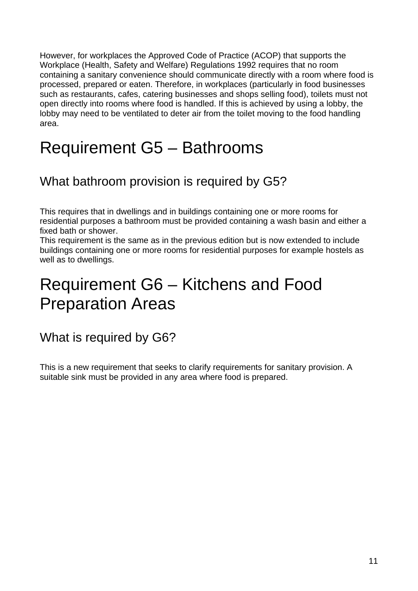However, for workplaces the Approved Code of Practice (ACOP) that supports the Workplace (Health, Safety and Welfare) Regulations 1992 requires that no room containing a sanitary convenience should communicate directly with a room where food is processed, prepared or eaten. Therefore, in workplaces (particularly in food businesses such as restaurants, cafes, catering businesses and shops selling food), toilets must not open directly into rooms where food is handled. If this is achieved by using a lobby, the lobby may need to be ventilated to deter air from the toilet moving to the food handling area.

## <span id="page-10-0"></span>Requirement G5 – Bathrooms

### <span id="page-10-1"></span>What bathroom provision is required by G5?

This requires that in dwellings and in buildings containing one or more rooms for residential purposes a bathroom must be provided containing a wash basin and either a fixed bath or shower.

This requirement is the same as in the previous edition but is now extended to include buildings containing one or more rooms for residential purposes for example hostels as well as to dwellings.

## <span id="page-10-2"></span>Requirement G6 – Kitchens and Food Preparation Areas

#### <span id="page-10-3"></span>What is required by G6?

This is a new requirement that seeks to clarify requirements for sanitary provision. A suitable sink must be provided in any area where food is prepared.